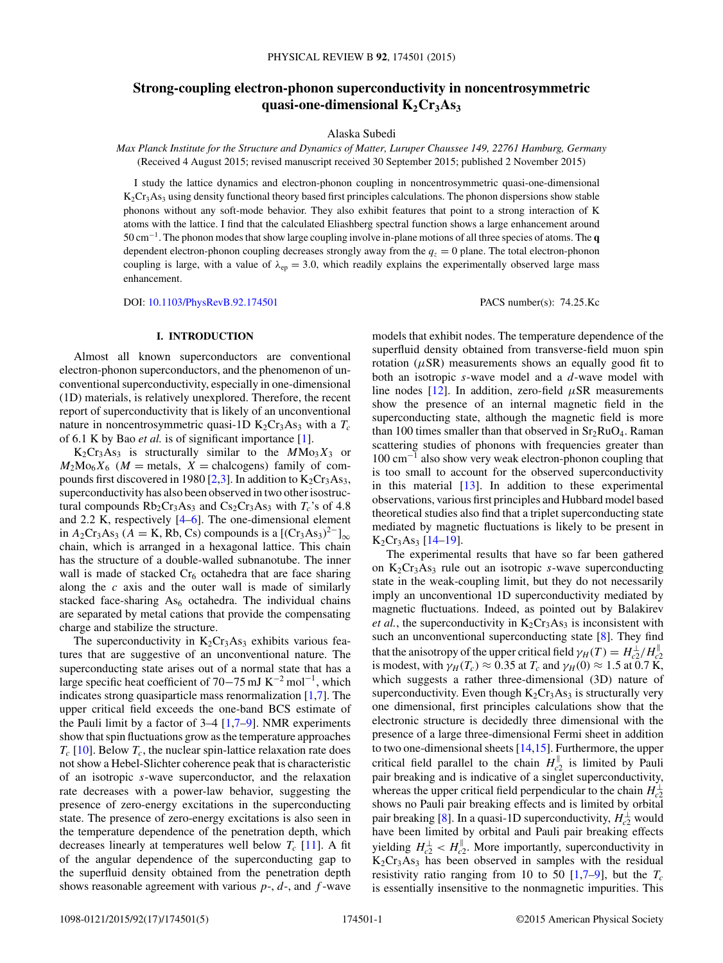# **Strong-coupling electron-phonon superconductivity in noncentrosymmetric** quasi-one-dimensional  $K_2Cr_3As_3$

Alaska Subedi

*Max Planck Institute for the Structure and Dynamics of Matter, Luruper Chaussee 149, 22761 Hamburg, Germany* (Received 4 August 2015; revised manuscript received 30 September 2015; published 2 November 2015)

I study the lattice dynamics and electron-phonon coupling in noncentrosymmetric quasi-one-dimensional  $K_2Cr_3As_3$  using density functional theory based first principles calculations. The phonon dispersions show stable phonons without any soft-mode behavior. They also exhibit features that point to a strong interaction of K atoms with the lattice. I find that the calculated Eliashberg spectral function shows a large enhancement around 50 cm−1. The phonon modes that show large coupling involve in-plane motions of all three species of atoms. The **q** dependent electron-phonon coupling decreases strongly away from the  $q<sub>z</sub> = 0$  plane. The total electron-phonon coupling is large, with a value of  $\lambda_{ep} = 3.0$ , which readily explains the experimentally observed large mass enhancement.

DOI: [10.1103/PhysRevB.92.174501](http://dx.doi.org/10.1103/PhysRevB.92.174501) PACS number(s): 74*.*25*.*Kc

#### **I. INTRODUCTION**

Almost all known superconductors are conventional electron-phonon superconductors, and the phenomenon of unconventional superconductivity, especially in one-dimensional (1D) materials, is relatively unexplored. Therefore, the recent report of superconductivity that is likely of an unconventional nature in noncentrosymmetric quasi-1D  $K_2Cr_3As_3$  with a  $T_c$ of 6.1 K by Bao *et al.* is of significant importance [\[1\]](#page-4-0).

 $K_2Cr_3As_3$  is structurally similar to the  $MMo_3X_3$  or  $M_2M_0^K_6$  ( $M =$  metals,  $X =$  chalcogens) family of com-pounds first discovered in 1980 [\[2,3\]](#page-4-0). In addition to  $K_2Cr_3As_3$ , superconductivity has also been observed in two other isostructural compounds  $Rb_2Cr_3As_3$  and  $Cs_2Cr_3As_3$  with  $T_c$ 's of 4.8 and 2.2 K, respectively [\[4–6\]](#page-4-0). The one-dimensional element in *A*<sub>2</sub>Cr<sub>3</sub>As<sub>3</sub> (*A* = K, Rb, Cs) compounds is a [(Cr<sub>3</sub>As<sub>3</sub>)<sup>2−</sup>]<sub>∞</sub> chain, which is arranged in a hexagonal lattice. This chain has the structure of a double-walled subnanotube. The inner wall is made of stacked  $Cr<sub>6</sub>$  octahedra that are face sharing along the *c* axis and the outer wall is made of similarly stacked face-sharing  $As<sub>6</sub>$  octahedra. The individual chains are separated by metal cations that provide the compensating charge and stabilize the structure.

The superconductivity in  $K_2Cr_3As_3$  exhibits various features that are suggestive of an unconventional nature. The superconducting state arises out of a normal state that has a large specific heat coefficient of 70–75 mJ K<sup>-2</sup> mol<sup>-1</sup>, which indicates strong quasiparticle mass renormalization [\[1,7\]](#page-4-0). The upper critical field exceeds the one-band BCS estimate of the Pauli limit by a factor of 3–4 [\[1,7–9\]](#page-4-0). NMR experiments show that spin fluctuations grow as the temperature approaches  $T_c$  [\[10\]](#page-4-0). Below  $T_c$ , the nuclear spin-lattice relaxation rate does not show a Hebel-Slichter coherence peak that is characteristic of an isotropic *s*-wave superconductor, and the relaxation rate decreases with a power-law behavior, suggesting the presence of zero-energy excitations in the superconducting state. The presence of zero-energy excitations is also seen in the temperature dependence of the penetration depth, which decreases linearly at temperatures well below  $T_c$  [\[11\]](#page-4-0). A fit of the angular dependence of the superconducting gap to the superfluid density obtained from the penetration depth shows reasonable agreement with various *p*-, *d*-, and *f* -wave

models that exhibit nodes. The temperature dependence of the superfluid density obtained from transverse-field muon spin rotation  $(\mu$ SR) measurements shows an equally good fit to both an isotropic *s*-wave model and a *d*-wave model with line nodes [\[12\]](#page-4-0). In addition, zero-field  $\mu$ SR measurements show the presence of an internal magnetic field in the superconducting state, although the magnetic field is more than 100 times smaller than that observed in  $Sr<sub>2</sub>RuO<sub>4</sub>$ . Raman scattering studies of phonons with frequencies greater than 100 cm−<sup>1</sup> also show very weak electron-phonon coupling that is too small to account for the observed superconductivity in this material  $[13]$ . In addition to these experimental observations, various first principles and Hubbard model based theoretical studies also find that a triplet superconducting state mediated by magnetic fluctuations is likely to be present in  $K_2Cr_3As_3$  [\[14–19\]](#page-4-0).

The experimental results that have so far been gathered on  $K_2Cr_3As_3$  rule out an isotropic *s*-wave superconducting state in the weak-coupling limit, but they do not necessarily imply an unconventional 1D superconductivity mediated by magnetic fluctuations. Indeed, as pointed out by Balakirev *et al.*, the superconductivity in  $K_2Cr_3As_3$  is inconsistent with such an unconventional superconducting state [\[8\]](#page-4-0). They find that the anisotropy of the upper critical field  $\gamma_H(T) = H_{c2}^{\perp}/H_{c2}^{\parallel}$ is modest, with  $\gamma_H(T_c) \approx 0.35$  at  $T_c$  and  $\gamma_H(0) \approx 1.5$  at 0.7 K, which suggests a rather three-dimensional (3D) nature of superconductivity. Even though  $K_2Cr_3As_3$  is structurally very one dimensional, first principles calculations show that the electronic structure is decidedly three dimensional with the presence of a large three-dimensional Fermi sheet in addition to two one-dimensional sheets [\[14,15\]](#page-4-0). Furthermore, the upper critical field parallel to the chain  $H_{c2}^{\parallel}$  is limited by Pauli pair breaking and is indicative of a singlet superconductivity, whereas the upper critical field perpendicular to the chain  $H_{c2}^{\perp}$ shows no Pauli pair breaking effects and is limited by orbital pair breaking [\[8\]](#page-4-0). In a quasi-1D superconductivity,  $H_{c2}^{\perp}$  would have been limited by orbital and Pauli pair breaking effects yielding  $H_{c2}^{\perp} < H_{c2}^{\parallel}$ . More importantly, superconductivity in  $K_2Cr_3As_3$  has been observed in samples with the residual resistivity ratio ranging from 10 to 50  $[1,7-9]$ , but the  $T_c$ is essentially insensitive to the nonmagnetic impurities. This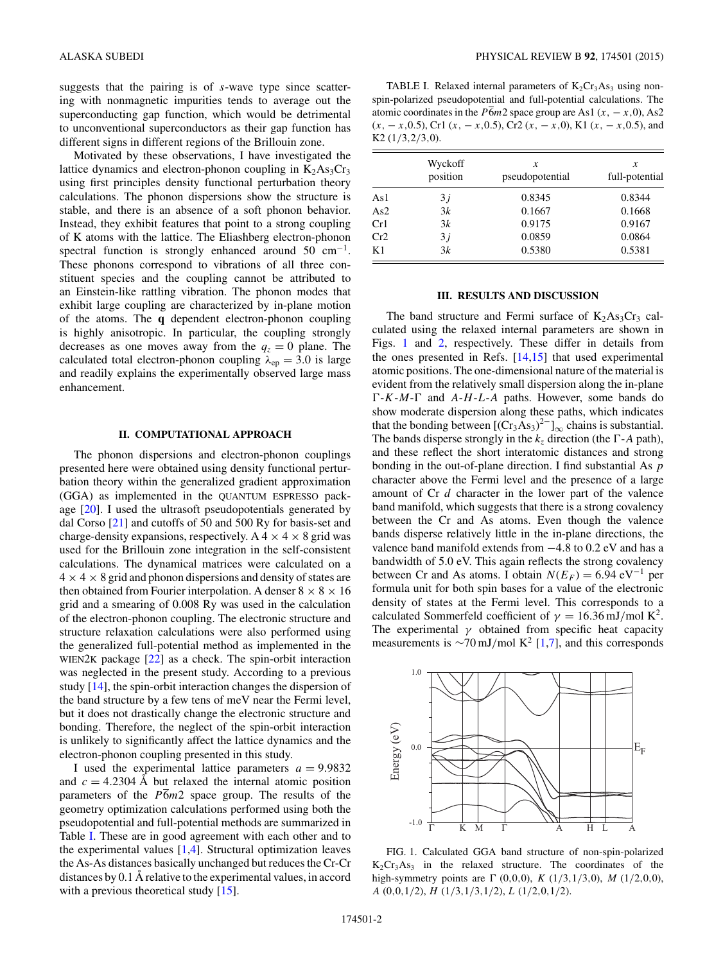suggests that the pairing is of *s*-wave type since scattering with nonmagnetic impurities tends to average out the superconducting gap function, which would be detrimental to unconventional superconductors as their gap function has different signs in different regions of the Brillouin zone.

Motivated by these observations, I have investigated the lattice dynamics and electron-phonon coupling in  $K_2As_3Cr_3$ using first principles density functional perturbation theory calculations. The phonon dispersions show the structure is stable, and there is an absence of a soft phonon behavior. Instead, they exhibit features that point to a strong coupling of K atoms with the lattice. The Eliashberg electron-phonon spectral function is strongly enhanced around 50  $cm^{-1}$ . These phonons correspond to vibrations of all three constituent species and the coupling cannot be attributed to an Einstein-like rattling vibration. The phonon modes that exhibit large coupling are characterized by in-plane motion of the atoms. The **q** dependent electron-phonon coupling is highly anisotropic. In particular, the coupling strongly decreases as one moves away from the  $q_z = 0$  plane. The calculated total electron-phonon coupling  $\lambda_{ep} = 3.0$  is large and readily explains the experimentally observed large mass enhancement.

### **II. COMPUTATIONAL APPROACH**

The phonon dispersions and electron-phonon couplings presented here were obtained using density functional perturbation theory within the generalized gradient approximation (GGA) as implemented in the QUANTUM ESPRESSO package [\[20\]](#page-4-0). I used the ultrasoft pseudopotentials generated by dal Corso [\[21\]](#page-4-0) and cutoffs of 50 and 500 Ry for basis-set and charge-density expansions, respectively. A  $4 \times 4 \times 8$  grid was used for the Brillouin zone integration in the self-consistent calculations. The dynamical matrices were calculated on a  $4 \times 4 \times 8$  grid and phonon dispersions and density of states are then obtained from Fourier interpolation. A denser  $8 \times 8 \times 16$ grid and a smearing of 0.008 Ry was used in the calculation of the electron-phonon coupling. The electronic structure and structure relaxation calculations were also performed using the generalized full-potential method as implemented in the WIEN2K package [\[22\]](#page-4-0) as a check. The spin-orbit interaction was neglected in the present study. According to a previous study [\[14\]](#page-4-0), the spin-orbit interaction changes the dispersion of the band structure by a few tens of meV near the Fermi level, but it does not drastically change the electronic structure and bonding. Therefore, the neglect of the spin-orbit interaction is unlikely to significantly affect the lattice dynamics and the electron-phonon coupling presented in this study.

I used the experimental lattice parameters  $a = 9.9832$ and  $c = 4.2304$  Å but relaxed the internal atomic position parameters of the *P*6*m*2 space group. The results of the geometry optimization calculations performed using both the pseudopotential and full-potential methods are summarized in Table I. These are in good agreement with each other and to the experimental values  $[1,4]$ . Structural optimization leaves the As-As distances basically unchanged but reduces the Cr-Cr distances by  $0.1 \text{ Å}$  relative to the experimental values, in accord with a previous theoretical study [\[15\]](#page-4-0).

TABLE I. Relaxed internal parameters of  $K_2Cr_3As_3$  using nonspin-polarized pseudopotential and full-potential calculations. The atomic coordinates in the  $\overline{P6}m2$  space group are As1 (*x*,  $-x$ , 0), As2 (*x,* − *x,*0*.*5), Cr1 (*x,* − *x,*0*.*5), Cr2 (*x,* − *x,*0), K1 (*x,* − *x,*0*.*5), and K2 (1*/*3*,*2*/*3*,*0).

|     | Wyckoff<br>position | x<br>pseudopotential | x<br>full-potential |
|-----|---------------------|----------------------|---------------------|
| As1 | 3i                  | 0.8345               | 0.8344              |
| As2 | 3k                  | 0.1667               | 0.1668              |
| Cr1 | 3k                  | 0.9175               | 0.9167              |
| Cr2 | 3j                  | 0.0859               | 0.0864              |
| K1  | 3k                  | 0.5380               | 0.5381              |

### **III. RESULTS AND DISCUSSION**

The band structure and Fermi surface of  $K_2As_3Cr_3$  calculated using the relaxed internal parameters are shown in Figs. 1 and [2,](#page-2-0) respectively. These differ in details from the ones presented in Refs.  $[14,15]$  that used experimental atomic positions. The one-dimensional nature of the material is evident from the relatively small dispersion along the in-plane  $\Gamma$ -*K*-*M*- $\Gamma$  and *A*-*H*-*L*-*A* paths. However, some bands do show moderate dispersion along these paths, which indicates that the bonding between  $[(Cr_3As_3)^2]_{\infty}$  chains is substantial. The bands disperse strongly in the  $k_z$  direction (the  $\Gamma$ -*A* path), and these reflect the short interatomic distances and strong bonding in the out-of-plane direction. I find substantial As *p* character above the Fermi level and the presence of a large amount of Cr *d* character in the lower part of the valence band manifold, which suggests that there is a strong covalency between the Cr and As atoms. Even though the valence bands disperse relatively little in the in-plane directions, the valence band manifold extends from −4*.*8 to 0.2 eV and has a bandwidth of 5.0 eV. This again reflects the strong covalency between Cr and As atoms. I obtain  $N(E_F) = 6.94 \text{ eV}^{-1}$  per formula unit for both spin bases for a value of the electronic density of states at the Fermi level. This corresponds to a calculated Sommerfeld coefficient of  $\gamma = 16.36 \text{ mJ/mol K}^2$ . The experimental  $\gamma$  obtained from specific heat capacity measurements is ∼70 mJ/mol K<sup>2</sup> [\[1,7\]](#page-4-0), and this corresponds



FIG. 1. Calculated GGA band structure of non-spin-polarized  $K_2Cr_3As_3$  in the relaxed structure. The coordinates of the high-symmetry points are  $\Gamma$  (0*,*0*,*0*)*, *K* (1/3*,*1/3*,*0*)*, *M* (1/2*,*0*,*0*)*, *A* (0*,*0*,*1*/*2), *H* (1*/*3*,*1*/*3*,*1*/*2), *L* (1*/*2*,*0*,*1*/*2).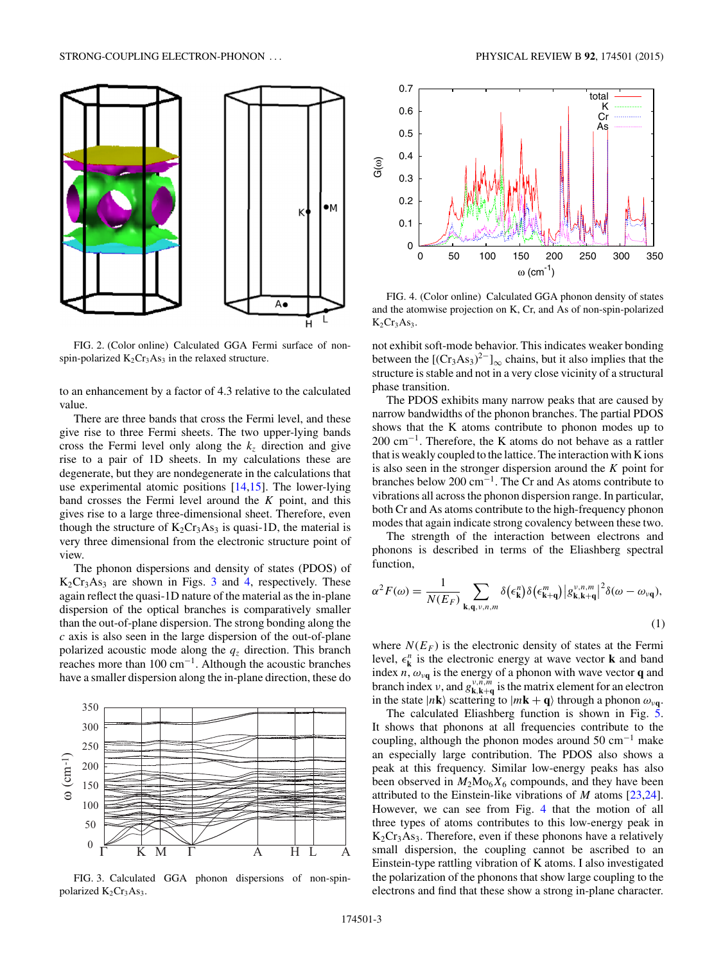<span id="page-2-0"></span>

FIG. 2. (Color online) Calculated GGA Fermi surface of nonspin-polarized  $K_2Cr_3As_3$  in the relaxed structure.

to an enhancement by a factor of 4.3 relative to the calculated value.

There are three bands that cross the Fermi level, and these give rise to three Fermi sheets. The two upper-lying bands cross the Fermi level only along the  $k<sub>z</sub>$  direction and give rise to a pair of 1D sheets. In my calculations these are degenerate, but they are nondegenerate in the calculations that use experimental atomic positions [\[14,15\]](#page-4-0). The lower-lying band crosses the Fermi level around the *K* point, and this gives rise to a large three-dimensional sheet. Therefore, even though the structure of  $K_2Cr_3As_3$  is quasi-1D, the material is very three dimensional from the electronic structure point of view.

The phonon dispersions and density of states (PDOS) of  $K_2Cr_3As_3$  are shown in Figs. 3 and 4, respectively. These again reflect the quasi-1D nature of the material as the in-plane dispersion of the optical branches is comparatively smaller than the out-of-plane dispersion. The strong bonding along the *c* axis is also seen in the large dispersion of the out-of-plane polarized acoustic mode along the  $q<sub>z</sub>$  direction. This branch reaches more than  $100 \text{ cm}^{-1}$ . Although the acoustic branches have a smaller dispersion along the in-plane direction, these do



FIG. 3. Calculated GGA phonon dispersions of non-spinpolarized  $K_2Cr_3As_3$ .



FIG. 4. (Color online) Calculated GGA phonon density of states and the atomwise projection on K, Cr, and As of non-spin-polarized  $K_2Cr_3As_3.$ 

not exhibit soft-mode behavior. This indicates weaker bonding between the  $[(Cr<sub>3</sub>As<sub>3</sub>)<sup>2–</sup>]_{\infty}$  chains, but it also implies that the structure is stable and not in a very close vicinity of a structural phase transition.

The PDOS exhibits many narrow peaks that are caused by narrow bandwidths of the phonon branches. The partial PDOS shows that the K atoms contribute to phonon modes up to 200 cm−1. Therefore, the K atoms do not behave as a rattler that is weakly coupled to the lattice. The interaction with K ions is also seen in the stronger dispersion around the *K* point for branches below 200 cm−1. The Cr and As atoms contribute to vibrations all across the phonon dispersion range. In particular, both Cr and As atoms contribute to the high-frequency phonon modes that again indicate strong covalency between these two.

The strength of the interaction between electrons and phonons is described in terms of the Eliashberg spectral function,

$$
\alpha^2 F(\omega) = \frac{1}{N(E_F)} \sum_{\mathbf{k}, \mathbf{q}, v, n, m} \delta(\epsilon_{\mathbf{k}}^n) \delta(\epsilon_{\mathbf{k}+\mathbf{q}}^m) |g_{\mathbf{k}, \mathbf{k}+\mathbf{q}}^{v, n, m}|^2 \delta(\omega - \omega_{\nu \mathbf{q}}),
$$
\n(1)

where  $N(E_F)$  is the electronic density of states at the Fermi level,  $\epsilon^n_k$  is the electronic energy at wave vector **k** and band index  $n$ ,  $\omega_{\nu q}$  is the energy of a phonon with wave vector **q** and branch index *ν*, and  $g_{k,k+q}^{\nu,n,m}$  is the matrix element for an electron in the state  $|n\mathbf{k}\rangle$  scattering to  $|m\mathbf{k} + \mathbf{q}\rangle$  through a phonon  $\omega_{\nu\mathbf{q}}$ .

The calculated Eliashberg function is shown in Fig. [5.](#page-3-0) It shows that phonons at all frequencies contribute to the coupling, although the phonon modes around 50 cm<sup>-1</sup> make an especially large contribution. The PDOS also shows a peak at this frequency. Similar low-energy peaks has also been observed in  $M_2M_0^K_6$  compounds, and they have been attributed to the Einstein-like vibrations of *M* atoms [\[23,24\]](#page-4-0). However, we can see from Fig. 4 that the motion of all three types of atoms contributes to this low-energy peak in  $K_2Cr_3As_3$ . Therefore, even if these phonons have a relatively small dispersion, the coupling cannot be ascribed to an Einstein-type rattling vibration of K atoms. I also investigated the polarization of the phonons that show large coupling to the electrons and find that these show a strong in-plane character.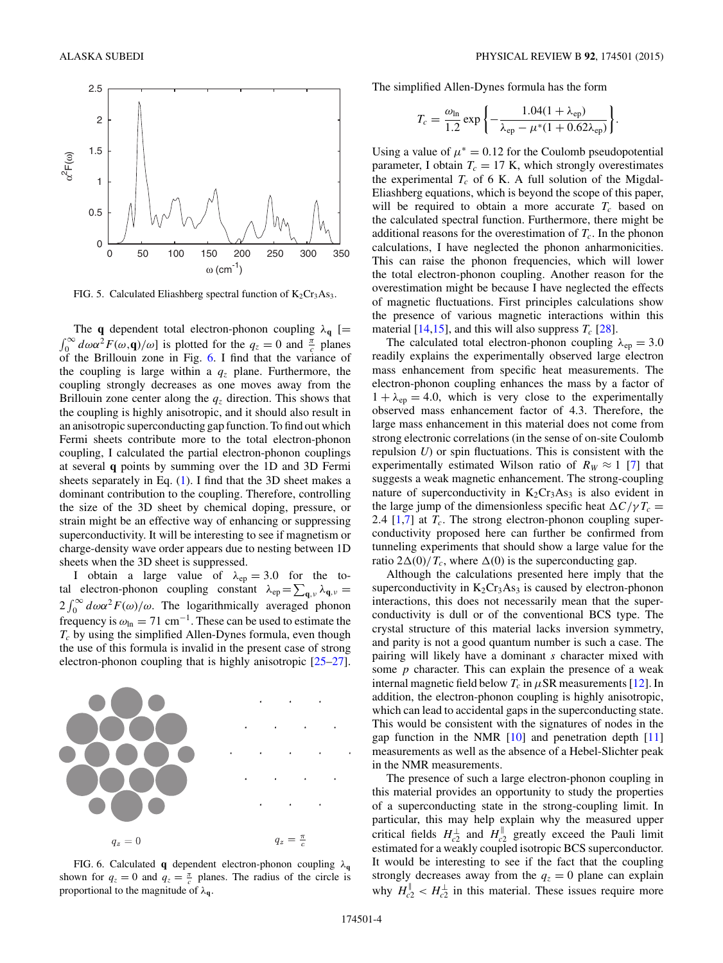<span id="page-3-0"></span>

FIG. 5. Calculated Eliashberg spectral function of  $K_2Cr_3As_3$ .

The **q** dependent total electron-phonon coupling  $\lambda_{\mathbf{q}}$  [=  $\int_0^\infty d\omega \alpha^2 F(\omega, \mathbf{q})/\omega$ ] is plotted for the  $q_z = 0$  and  $\frac{\pi}{c}$  planes of the Brillouin zone in Fig. 6. I find that the variance of the coupling is large within a  $q<sub>z</sub>$  plane. Furthermore, the coupling strongly decreases as one moves away from the Brillouin zone center along the  $q<sub>z</sub>$  direction. This shows that the coupling is highly anisotropic, and it should also result in an anisotropic superconducting gap function. To find out which Fermi sheets contribute more to the total electron-phonon coupling, I calculated the partial electron-phonon couplings at several **q** points by summing over the 1D and 3D Fermi sheets separately in Eq. [\(1\)](#page-2-0). I find that the 3D sheet makes a dominant contribution to the coupling. Therefore, controlling the size of the 3D sheet by chemical doping, pressure, or strain might be an effective way of enhancing or suppressing superconductivity. It will be interesting to see if magnetism or charge-density wave order appears due to nesting between 1D sheets when the 3D sheet is suppressed.

I obtain a large value of  $\lambda_{ep} = 3.0$  for the total electron-phonon coupling constant  $\lambda_{ep} = \sum_{\mathbf{q},\nu} \lambda_{\mathbf{q},\nu} =$  $2 \int_0^\infty d\omega \alpha^2 F(\omega)/\omega$ . The logarithmically averaged phonon frequency is  $\omega_{\text{ln}} = 71 \text{ cm}^{-1}$ . These can be used to estimate the *Tc* by using the simplified Allen-Dynes formula, even though the use of this formula is invalid in the present case of strong electron-phonon coupling that is highly anisotropic [\[25–27\]](#page-4-0).



FIG. 6. Calculated **q** dependent electron-phonon coupling *λ***<sup>q</sup>** shown for  $q_z = 0$  and  $q_z = \frac{\pi}{c}$  planes. The radius of the circle is proportional to the magnitude of *λ***q**.

The simplified Allen-Dynes formula has the form

$$
T_c = \frac{\omega_{\text{ln}}}{1.2} \exp\left\{-\frac{1.04(1+\lambda_{\text{ep}})}{\lambda_{\text{ep}} - \mu^*(1+0.62\lambda_{\text{ep}})}\right\}.
$$

Using a value of  $\mu^* = 0.12$  for the Coulomb pseudopotential parameter, I obtain  $T_c = 17$  K, which strongly overestimates the experimental  $T_c$  of 6 K. A full solution of the Migdal-Eliashberg equations, which is beyond the scope of this paper, will be required to obtain a more accurate  $T_c$  based on the calculated spectral function. Furthermore, there might be additional reasons for the overestimation of  $T_c$ . In the phonon calculations, I have neglected the phonon anharmonicities. This can raise the phonon frequencies, which will lower the total electron-phonon coupling. Another reason for the overestimation might be because I have neglected the effects of magnetic fluctuations. First principles calculations show the presence of various magnetic interactions within this material  $[14,15]$ , and this will also suppress  $T_c$   $[28]$ .

The calculated total electron-phonon coupling  $\lambda_{ep} = 3.0$ readily explains the experimentally observed large electron mass enhancement from specific heat measurements. The electron-phonon coupling enhances the mass by a factor of  $1 + \lambda_{ep} = 4.0$ , which is very close to the experimentally observed mass enhancement factor of 4.3. Therefore, the large mass enhancement in this material does not come from strong electronic correlations (in the sense of on-site Coulomb repulsion *U*) or spin fluctuations. This is consistent with the experimentally estimated Wilson ratio of  $R_W \approx 1$  [\[7\]](#page-4-0) that suggests a weak magnetic enhancement. The strong-coupling nature of superconductivity in  $K_2Cr_3As_3$  is also evident in the large jump of the dimensionless specific heat  $\Delta C/\gamma T_c =$ 2.4  $[1,7]$  at  $T_c$ . The strong electron-phonon coupling superconductivity proposed here can further be confirmed from tunneling experiments that should show a large value for the ratio  $2\Delta(0)/T_c$ , where  $\Delta(0)$  is the superconducting gap.

Although the calculations presented here imply that the superconductivity in  $K_2Cr_3As_3$  is caused by electron-phonon interactions, this does not necessarily mean that the superconductivity is dull or of the conventional BCS type. The crystal structure of this material lacks inversion symmetry, and parity is not a good quantum number is such a case. The pairing will likely have a dominant *s* character mixed with some *p* character. This can explain the presence of a weak internal magnetic field below  $T_c$  in  $\mu$ SR measurements [\[12\]](#page-4-0). In addition, the electron-phonon coupling is highly anisotropic, which can lead to accidental gaps in the superconducting state. This would be consistent with the signatures of nodes in the gap function in the NMR  $[10]$  and penetration depth  $[11]$ measurements as well as the absence of a Hebel-Slichter peak in the NMR measurements.

The presence of such a large electron-phonon coupling in this material provides an opportunity to study the properties of a superconducting state in the strong-coupling limit. In particular, this may help explain why the measured upper critical fields  $H_{c2}^{\perp}$  and  $H_{c2}^{\parallel}$  greatly exceed the Pauli limit estimated for a weakly coupled isotropic BCS superconductor. It would be interesting to see if the fact that the coupling strongly decreases away from the  $q_z = 0$  plane can explain why  $H_{c2}^{\perp} < H_{c2}^{\perp}$  in this material. These issues require more